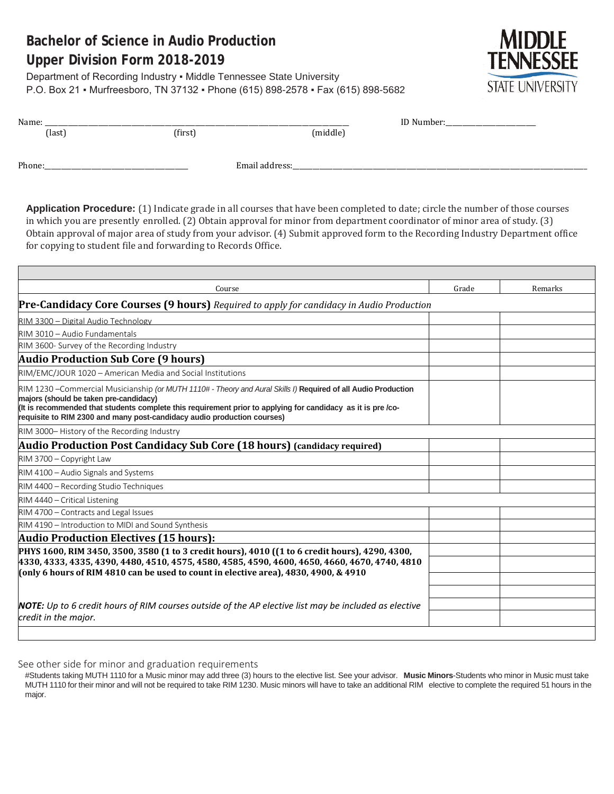# **Bachelor of Science in Audio Production Upper Division Form 2018-2019**

Department of Recording Industry . Middle Tennessee State University P.O. Box 21 ▪ Murfreesboro, TN 37132 ▪ Phone (615) 898-2578 ▪ Fax (615) 898-5682



| Name:  |         |                | ID Number: |  |
|--------|---------|----------------|------------|--|
| (last) | (first) | (middle)       |            |  |
|        |         |                |            |  |
| Phone: |         | Email address: |            |  |

**Application Procedure:** (1) Indicate grade in all courses that have been completed to date; circle the number of those courses in which you are presently enrolled. (2) Obtain approval for minor from department coordinator of minor area of study. (3) Obtain approval of major area of study from your advisor. (4) Submit approved form to the Recording Industry Department office for copying to student file and forwarding to Records Office.

| Course                                                                                                                                                                                                                                                                                                                                              | Grade | Remarks |
|-----------------------------------------------------------------------------------------------------------------------------------------------------------------------------------------------------------------------------------------------------------------------------------------------------------------------------------------------------|-------|---------|
| <b>Pre-Candidacy Core Courses (9 hours)</b> Required to apply for candidacy in Audio Production                                                                                                                                                                                                                                                     |       |         |
| RIM 3300 - Digital Audio Technology                                                                                                                                                                                                                                                                                                                 |       |         |
| RIM 3010 - Audio Fundamentals                                                                                                                                                                                                                                                                                                                       |       |         |
| RIM 3600- Survey of the Recording Industry                                                                                                                                                                                                                                                                                                          |       |         |
| <b>Audio Production Sub Core (9 hours)</b>                                                                                                                                                                                                                                                                                                          |       |         |
| RIM/EMC/JOUR 1020 - American Media and Social Institutions                                                                                                                                                                                                                                                                                          |       |         |
| RIM 1230 – Commercial Musicianship (or MUTH 1110# - Theory and Aural Skills I) Required of all Audio Production<br>majors (should be taken pre-candidacy)<br>(It is recommended that students complete this requirement prior to applying for candidacy as it is pre/co-<br>requisite to RIM 2300 and many post-candidacy audio production courses) |       |         |
| RIM 3000-History of the Recording Industry                                                                                                                                                                                                                                                                                                          |       |         |
| Audio Production Post Candidacy Sub Core (18 hours) (candidacy required)                                                                                                                                                                                                                                                                            |       |         |
| RIM 3700 - Copyright Law                                                                                                                                                                                                                                                                                                                            |       |         |
| RIM 4100 - Audio Signals and Systems                                                                                                                                                                                                                                                                                                                |       |         |
| RIM 4400 - Recording Studio Techniques                                                                                                                                                                                                                                                                                                              |       |         |
| RIM 4440 - Critical Listening                                                                                                                                                                                                                                                                                                                       |       |         |
| RIM 4700 - Contracts and Legal Issues                                                                                                                                                                                                                                                                                                               |       |         |
| RIM 4190 - Introduction to MIDI and Sound Synthesis                                                                                                                                                                                                                                                                                                 |       |         |
| <b>Audio Production Electives (15 hours):</b>                                                                                                                                                                                                                                                                                                       |       |         |
| PHYS 1600, RIM 3450, 3500, 3580 (1 to 3 credit hours), 4010 ((1 to 6 credit hours), 4290, 4300,<br>4330, 4333, 4335, 4390, 4480, 4510, 4575, 4580, 4585, 4590, 4600, 4650, 4660, 4670, 4740, 4810<br>(only 6 hours of RIM 4810 can be used to count in elective area), 4830, 4900, & 4910                                                           |       |         |
| <b>NOTE:</b> Up to 6 credit hours of RIM courses outside of the AP elective list may be included as elective<br>credit in the major.                                                                                                                                                                                                                |       |         |
|                                                                                                                                                                                                                                                                                                                                                     |       |         |

See other side for minor and graduation requirements

#Students taking MUTH 1110 for a Music minor may add three (3) hours to the elective list. See your advisor. **Music Minors**-Students who minor in Music must take MUTH 1110 for their minor and will not be required to take RIM 1230. Music minors will have to take an additional RIM elective to complete the required 51 hours in the major.